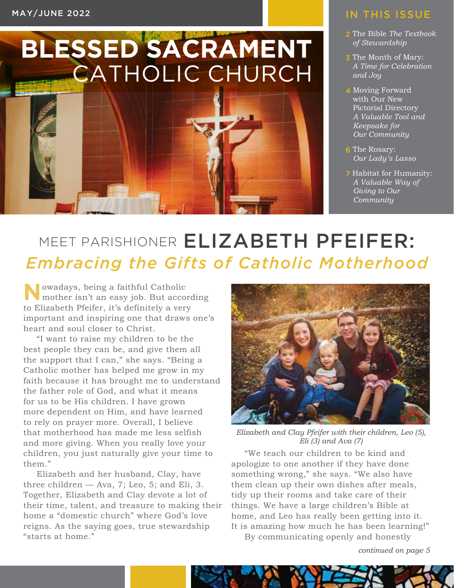# **BLESSED SACRAMENT** CATHOLIC CHURCH



#### IN THIS ISSUE

- 2 The Bible *The Textbook of Stewardship*
- 3 The Month of Mary: *A Time for Celebration and Joy*
- 4 Moving Forward with Our New Pictorial Directory *A Valuable Tool and Keepsake for Our Community*
- 6 The Rosary: *Our Lady's Lasso*
- 7 Habitat for Humanity: *A Valuable Way of Giving to Our Community*

### MEET PARISHIONER ELIZABETH PFEIFER: *Embracing the Gifts of Catholic Motherhood*

**N**owadays, being a faithful Catholic mother isn't an easy job. But according to Elizabeth Pfeifer, it's definitely a very important and inspiring one that draws one's heart and soul closer to Christ.

"I want to raise my children to be the best people they can be, and give them all the support that I can," she says. "Being a Catholic mother has helped me grow in my faith because it has brought me to understand the father role of God, and what it means for us to be His children. I have grown more dependent on Him, and have learned to rely on prayer more. Overall, I believe that motherhood has made me less selfish and more giving. When you really love your children, you just naturally give your time to them."

Elizabeth and her husband, Clay, have three children — Ava, 7; Leo, 5; and Eli, 3. Together, Elizabeth and Clay devote a lot of their time, talent, and treasure to making their home a "domestic church" where God's love reigns. As the saying goes, true stewardship "starts at home."



*Elizabeth and Clay Pfeifer with their children, Leo (5), Eli (3) and Ava (7)*

"We teach our children to be kind and apologize to one another if they have done something wrong," she says. "We also have them clean up their own dishes after meals, tidy up their rooms and take care of their things. We have a large children's Bible at home, and Leo has really been getting into it. It is amazing how much he has been learning!" By communicating openly and honestly

*continued on page 5*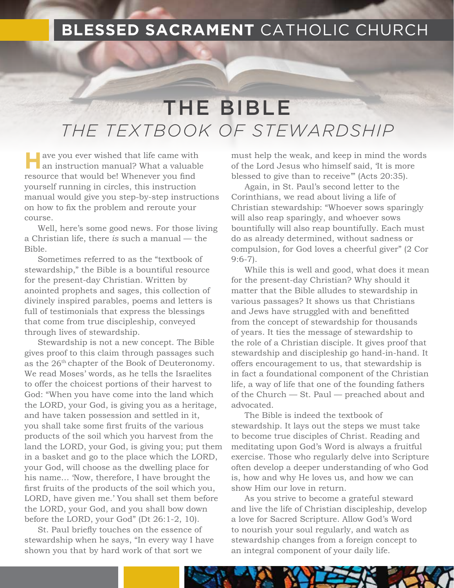#### **BLESSED SACRAMENT** CATHOLIC CHURCH

### THE BIBLE *THE TEXTBOOK OF STEWARDSHIP*

**H** ave you ever wished that life came with **T** an instruction manual? What a valuable resource that would be! Whenever you find yourself running in circles, this instruction manual would give you step-by-step instructions on how to fix the problem and reroute your course.

Well, here's some good news. For those living a Christian life, there *is* such a manual — the Bible.

Sometimes referred to as the "textbook of stewardship," the Bible is a bountiful resource for the present-day Christian. Written by anointed prophets and sages, this collection of divinely inspired parables, poems and letters is full of testimonials that express the blessings that come from true discipleship, conveyed through lives of stewardship.

Stewardship is not a new concept. The Bible gives proof to this claim through passages such as the 26<sup>th</sup> chapter of the Book of Deuteronomy. We read Moses' words, as he tells the Israelites to offer the choicest portions of their harvest to God: "When you have come into the land which the LORD, your God, is giving you as a heritage, and have taken possession and settled in it, you shall take some first fruits of the various products of the soil which you harvest from the land the LORD, your God, is giving you; put them in a basket and go to the place which the LORD, your God, will choose as the dwelling place for his name… 'Now, therefore, I have brought the first fruits of the products of the soil which you, LORD, have given me.' You shall set them before the LORD, your God, and you shall bow down before the LORD, your God" (Dt 26:1-2, 10).

St. Paul briefly touches on the essence of stewardship when he says, "In every way I have shown you that by hard work of that sort we

must help the weak, and keep in mind the words of the Lord Jesus who himself said, 'It is more blessed to give than to receive'" (Acts 20:35).

Again, in St. Paul's second letter to the Corinthians, we read about living a life of Christian stewardship: "Whoever sows sparingly will also reap sparingly, and whoever sows bountifully will also reap bountifully. Each must do as already determined, without sadness or compulsion, for God loves a cheerful giver" (2 Cor 9:6-7).

While this is well and good, what does it mean for the present-day Christian? Why should it matter that the Bible alludes to stewardship in various passages? It shows us that Christians and Jews have struggled with and benefitted from the concept of stewardship for thousands of years. It ties the message of stewardship to the role of a Christian disciple. It gives proof that stewardship and discipleship go hand-in-hand. It offers encouragement to us, that stewardship is in fact a foundational component of the Christian life, a way of life that one of the founding fathers of the Church — St. Paul — preached about and advocated.

The Bible is indeed the textbook of stewardship. It lays out the steps we must take to become true disciples of Christ. Reading and meditating upon God's Word is always a fruitful exercise. Those who regularly delve into Scripture often develop a deeper understanding of who God is, how and why He loves us, and how we can show Him our love in return.

As you strive to become a grateful steward and live the life of Christian discipleship, develop a love for Sacred Scripture. Allow God's Word to nourish your soul regularly, and watch as stewardship changes from a foreign concept to an integral component of your daily life.

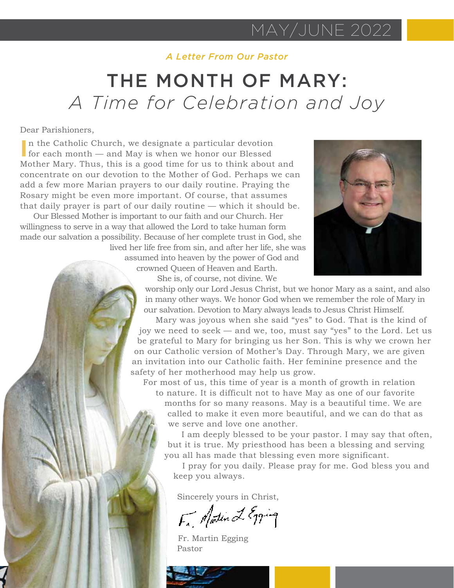#### *A Letter From Our Pastor*

#### THE MONTH OF MARY: *A Time for Celebration and Joy*

#### Dear Parishioners,

In the Catholic Church, we designate a particular devotion for each month — and May is when we honor our Blessed for each month — and May is when we honor our Blessed Mother Mary. Thus, this is a good time for us to think about and concentrate on our devotion to the Mother of God. Perhaps we can add a few more Marian prayers to our daily routine. Praying the Rosary might be even more important. Of course, that assumes that daily prayer is part of our daily routine — which it should be.

Our Blessed Mother is important to our faith and our Church. Her willingness to serve in a way that allowed the Lord to take human form made our salvation a possibility. Because of her complete trust in God, she lived her life free from sin, and after her life, she was

assumed into heaven by the power of God and crowned Queen of Heaven and Earth. She is, of course, not divine. We



worship only our Lord Jesus Christ, but we honor Mary as a saint, and also in many other ways. We honor God when we remember the role of Mary in our salvation. Devotion to Mary always leads to Jesus Christ Himself.

Mary was joyous when she said "yes" to God. That is the kind of joy we need to seek — and we, too, must say "yes" to the Lord. Let us be grateful to Mary for bringing us her Son. This is why we crown her on our Catholic version of Mother's Day. Through Mary, we are given an invitation into our Catholic faith. Her feminine presence and the safety of her motherhood may help us grow.

For most of us, this time of year is a month of growth in relation to nature. It is difficult not to have May as one of our favorite months for so many reasons. May is a beautiful time. We are called to make it even more beautiful, and we can do that as we serve and love one another.

I am deeply blessed to be your pastor. I may say that often, but it is true. My priesthood has been a blessing and serving you all has made that blessing even more significant.

I pray for you daily. Please pray for me. God bless you and keep you always.

Sincerely yours in Christ,

F. Matin L Egging

Fr. Martin Egging Pastor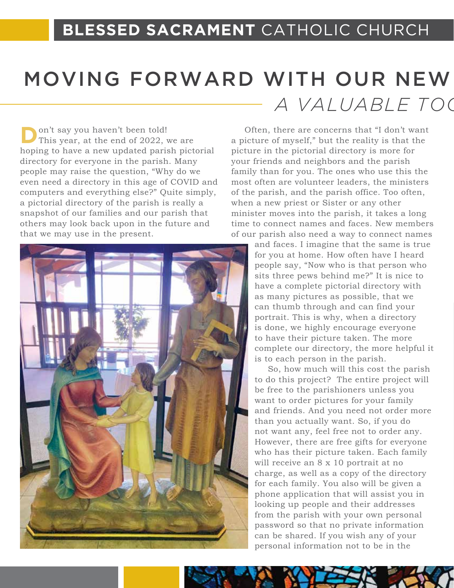## MOVING FORWARD WITH OUR NEW *A VALUABLE TOC*

on't say you haven't been told! This year, at the end of 2022, we are hoping to have a new updated parish pictorial directory for everyone in the parish. Many people may raise the question, "Why do we even need a directory in this age of COVID and computers and everything else?" Quite simply, a pictorial directory of the parish is really a snapshot of our families and our parish that others may look back upon in the future and that we may use in the present.



Often, there are concerns that "I don't want a picture of myself," but the reality is that the picture in the pictorial directory is more for your friends and neighbors and the parish family than for you. The ones who use this the most often are volunteer leaders, the ministers of the parish, and the parish office. Too often, when a new priest or Sister or any other minister moves into the parish, it takes a long time to connect names and faces. New members of our parish also need a way to connect names

> and faces. I imagine that the same is true for you at home. How often have I heard people say, "Now who is that person who sits three pews behind me?" It is nice to have a complete pictorial directory with as many pictures as possible, that we can thumb through and can find your portrait. This is why, when a directory is done, we highly encourage everyone to have their picture taken. The more complete our directory, the more helpful it is to each person in the parish.

So, how much will this cost the parish to do this project? The entire project will be free to the parishioners unless you want to order pictures for your family and friends. And you need not order more than you actually want. So, if you do not want any, feel free not to order any. However, there are free gifts for everyone who has their picture taken. Each family will receive an 8 x 10 portrait at no charge, as well as a copy of the directory for each family. You also will be given a phone application that will assist you in looking up people and their addresses from the parish with your own personal password so that no private information can be shared. If you wish any of your personal information not to be in the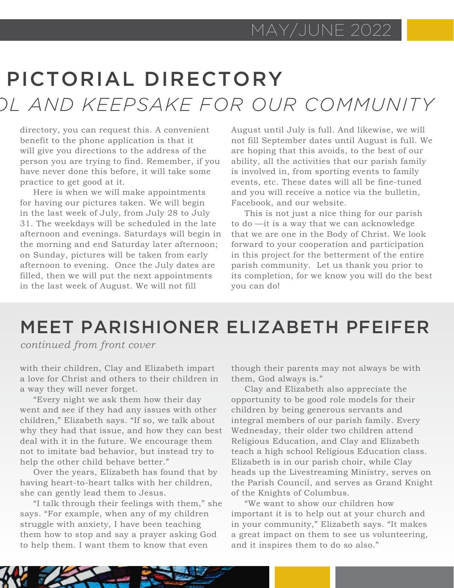## PICTORIAL DIRECTORY *A VALUABLE TOOL AND KEEPSAKE FOR OUR COMMUNITY*

directory, you can request this. A convenient benefit to the phone application is that it will give you directions to the address of the person you are trying to find. Remember, if you have never done this before, it will take some practice to get good at it.

Here is when we will make appointments for having our pictures taken. We will begin in the last week of July, from July 28 to July 31. The weekdays will be scheduled in the late afternoon and evenings. Saturdays will begin in the morning and end Saturday later afternoon; on Sunday, pictures will be taken from early afternoon to evening. Once the July dates are filled, then we will put the next appointments in the last week of August. We will not fill

August until July is full. And likewise, we will not fill September dates until August is full. We are hoping that this avoids, to the best of our ability, all the activities that our parish family is involved in, from sporting events to family events, etc. These dates will all be fine-tuned and you will receive a notice via the bulletin, Facebook, and our website.

This is not just a nice thing for our parish to do —it is a way that we can acknowledge that we are one in the Body of Christ. We look forward to your cooperation and participation in this project for the betterment of the entire parish community. Let us thank you prior to its completion, for we know you will do the best you can do!

#### MEET PARISHIONER ELIZABETH PFEIFER

*continued from front cover*

with their children, Clay and Elizabeth impart a love for Christ and others to their children in a way they will never forget.

"Every night we ask them how their day went and see if they had any issues with other children," Elizabeth says. "If so, we talk about why they had that issue, and how they can best deal with it in the future. We encourage them not to imitate bad behavior, but instead try to help the other child behave better."

Over the years, Elizabeth has found that by having heart-to-heart talks with her children, she can gently lead them to Jesus.

"I talk through their feelings with them," she says. "For example, when any of my children struggle with anxiety, I have been teaching them how to stop and say a prayer asking God to help them. I want them to know that even

though their parents may not always be with them, God always is."

Clay and Elizabeth also appreciate the opportunity to be good role models for their children by being generous servants and integral members of our parish family. Every Wednesday, their older two children attend Religious Education, and Clay and Elizabeth teach a high school Religious Education class. Elizabeth is in our parish choir, while Clay heads up the Livestreaming Ministry, serves on the Parish Council, and serves as Grand Knight of the Knights of Columbus.

"We want to show our children how important it is to help out at your church and in your community," Elizabeth says. "It makes a great impact on them to see us volunteering, and it inspires them to do so also."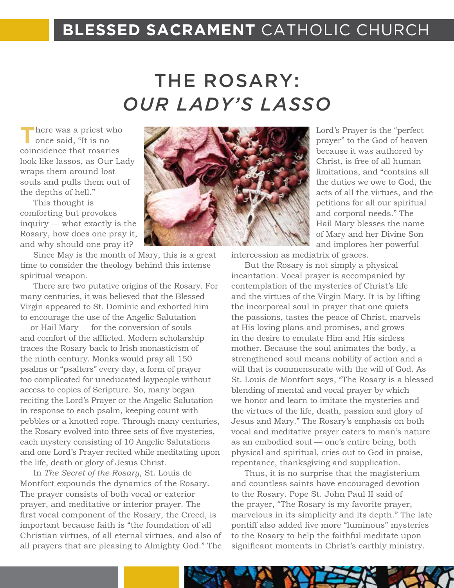#### **BLESSED SACRAMENT** CATHOLIC CHURCH

## THE ROSARY: *OUR LADY'S LASSO*

**T**here was a priest who once said, "It is no coincidence that rosaries look like lassos, as Our Lady wraps them around lost souls and pulls them out of the depths of hell."

This thought is comforting but provokes inquiry — what exactly is the Rosary, how does one pray it, and why should one pray it?

Since May is the month of Mary, this is a great time to consider the theology behind this intense spiritual weapon.

There are two putative origins of the Rosary. For many centuries, it was believed that the Blessed Virgin appeared to St. Dominic and exhorted him to encourage the use of the Angelic Salutation — or Hail Mary — for the conversion of souls and comfort of the afflicted. Modern scholarship traces the Rosary back to Irish monasticism of the ninth century. Monks would pray all 150 psalms or "psalters" every day, a form of prayer too complicated for uneducated laypeople without access to copies of Scripture. So, many began reciting the Lord's Prayer or the Angelic Salutation in response to each psalm, keeping count with pebbles or a knotted rope. Through many centuries, the Rosary evolved into three sets of five mysteries, each mystery consisting of 10 Angelic Salutations and one Lord's Prayer recited while meditating upon the life, death or glory of Jesus Christ.

In *The Secret of the Rosary*, St. Louis de Montfort expounds the dynamics of the Rosary. The prayer consists of both vocal or exterior prayer, and meditative or interior prayer. The first vocal component of the Rosary, the Creed, is important because faith is "the foundation of all Christian virtues, of all eternal virtues, and also of all prayers that are pleasing to Almighty God." The



Lord's Prayer is the "perfect prayer" to the God of heaven because it was authored by Christ, is free of all human limitations, and "contains all the duties we owe to God, the acts of all the virtues, and the petitions for all our spiritual and corporal needs." The Hail Mary blesses the name of Mary and her Divine Son and implores her powerful

intercession as mediatrix of graces.

But the Rosary is not simply a physical incantation. Vocal prayer is accompanied by contemplation of the mysteries of Christ's life and the virtues of the Virgin Mary. It is by lifting the incorporeal soul in prayer that one quiets the passions, tastes the peace of Christ, marvels at His loving plans and promises, and grows in the desire to emulate Him and His sinless mother. Because the soul animates the body, a strengthened soul means nobility of action and a will that is commensurate with the will of God. As St. Louis de Montfort says, "The Rosary is a blessed blending of mental and vocal prayer by which we honor and learn to imitate the mysteries and the virtues of the life, death, passion and glory of Jesus and Mary." The Rosary's emphasis on both vocal and meditative prayer caters to man's nature as an embodied soul — one's entire being, both physical and spiritual, cries out to God in praise, repentance, thanksgiving and supplication.

Thus, it is no surprise that the magisterium and countless saints have encouraged devotion to the Rosary. Pope St. John Paul II said of the prayer, "The Rosary is my favorite prayer, marvelous in its simplicity and its depth." The late pontiff also added five more "luminous" mysteries to the Rosary to help the faithful meditate upon significant moments in Christ's earthly ministry.

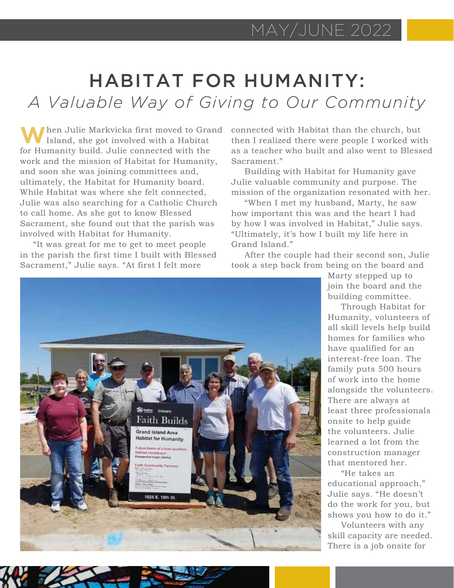### HABITAT FOR HUMANITY: *A Valuable Way of Giving to Our Community*

**W**hen Julie Markvicka first moved to Grand Island, she got involved with a Habitat for Humanity build. Julie connected with the work and the mission of Habitat for Humanity, and soon she was joining committees and, ultimately, the Habitat for Humanity board. While Habitat was where she felt connected, Julie was also searching for a Catholic Church to call home. As she got to know Blessed Sacrament, she found out that the parish was involved with Habitat for Humanity.

"It was great for me to get to meet people in the parish the first time I built with Blessed Sacrament," Julie says. "At first I felt more

connected with Habitat than the church, but then I realized there were people I worked with as a teacher who built and also went to Blessed Sacrament."

Building with Habitat for Humanity gave Julie valuable community and purpose. The mission of the organization resonated with her.

"When I met my husband, Marty, he saw how important this was and the heart I had by how I was involved in Habitat," Julie says. "Ultimately, it's how I built my life here in Grand Island."

After the couple had their second son, Julie took a step back from being on the board and



Marty stepped up to join the board and the building committee.

Through Habitat for Humanity, volunteers of all skill levels help build homes for families who have qualified for an interest-free loan. The family puts 500 hours of work into the home alongside the volunteers. There are always at least three professionals onsite to help guide the volunteers. Julie learned a lot from the construction manager that mentored her.

"He takes an educational approach," Julie says. "He doesn't do the work for you, but shows you how to do it."

Volunteers with any skill capacity are needed. There is a job onsite for